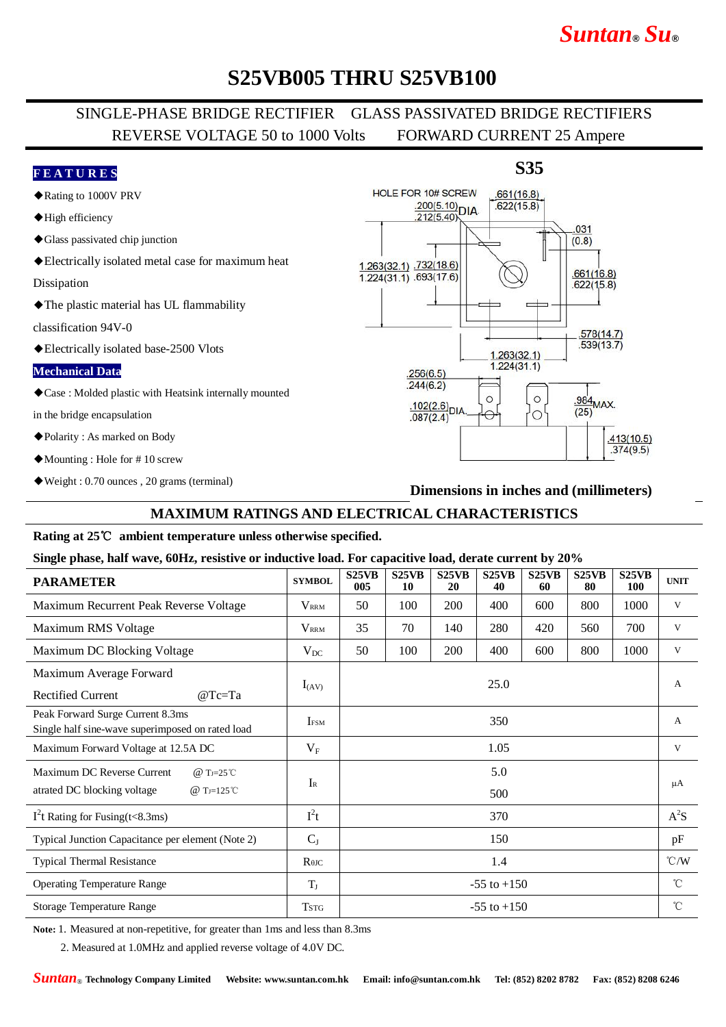# *Suntan***®** *Su***®**

 $.622(15.8)$ 

 $.578(14.7)$  $.539(13.7)$ 

 $\frac{.984}{.25}$ MAX.

 $.413(10.5)$  $.374(9.5)$ 

 $(25)$ 

## **S25VB005 THRU S25VB100**

## SINGLE-PHASE BRIDGE RECTIFIER GLASS PASSIVATED BRIDGE RECTIFIERS REVERSE VOLTAGE 50 to 1000 Volts FORWARD CURRENT 25 Ampere

 $1.224(31.1) .693(17.6)$ 

 $.256(6.5)$  $.244(6.2)$ 

 $.102(2.6)$ DIA

 $.087(2.4)$ 

### **F E A T U R E S**

- ◆Rating to 1000V PRV
- ◆High efficiency
- ◆Glass passivated chip junction
- ◆Electrically isolated metal case for maximum heat

Dissipation

◆The plastic material has UL flammability

classification 94V-0

◆Electrically isolated base-2500 Vlots

#### **Mechanical Data**

◆Case : Molded plastic with Heatsink internally mounted

in the bridge encapsulation

- ◆Polarity : As marked on Body
- ◆Mounting : Hole for # 10 screw
- ◆Weight : 0.70 ounces , 20 grams (terminal)

#### **S35** HOLE FOR 10# SCREW  $.661(16.8)$  $\frac{.200(5.10)}{212(5.40)}\text{DIA}$  $.622(15.8)$ 212(5.40) .031  $(0.8)$ 1.263(32.1) 732(18.6)  $.661(16.8)$

 $1.263(32.1)$  $1.224(31.1)$ 

 $\circ$ 

### **Dimensions in inches and (millimeters)**

 $\circ$ 

 $\circ$ 

### **MAXIMUM RATINGS AND ELECTRICAL CHARACTERISTICS**

#### **Rating at 25**℃ **ambient temperature unless otherwise specified.**

#### **Single phase, half wave, 60Hz, resistive or inductive load. For capacitive load, derate current by 20%**

| <b>PARAMETER</b>                                                                                               | <b>SYMBOL</b>                        | S25VB<br>005    | S25VB<br>10 | S25VB<br>20 | S25VB<br>40 | S <sub>25</sub> V <sub>B</sub><br>60 | S25VB<br>80 | S25VB<br><b>100</b> | <b>UNIT</b>   |
|----------------------------------------------------------------------------------------------------------------|--------------------------------------|-----------------|-------------|-------------|-------------|--------------------------------------|-------------|---------------------|---------------|
| Maximum Recurrent Peak Reverse Voltage                                                                         | $V_{\rm RRM}$                        | 50              | 100         | 200         | 400         | 600                                  | 800         | 1000                | V             |
| Maximum RMS Voltage                                                                                            | $V_{\rm RRM}$                        | 35              | 70          | 140         | 280         | 420                                  | 560         | 700                 | V             |
| Maximum DC Blocking Voltage                                                                                    | $V_{DC}$                             | 50              | 100         | 200         | 400         | 600                                  | 800         | 1000                | V             |
| Maximum Average Forward<br><b>Rectified Current</b><br>$@Tc=Ta$                                                | $I_{(AV)}$                           | 25.0            |             |             |             |                                      |             |                     | $\mathbf{A}$  |
| Peak Forward Surge Current 8.3ms<br>Single half sine-wave superimposed on rated load                           | IFSM                                 | 350             |             |             |             |                                      |             |                     | $\mathbf{A}$  |
| Maximum Forward Voltage at 12.5A DC                                                                            | $V_{\rm F}$                          | 1.05            |             |             |             |                                      |             |                     | V             |
| Maximum DC Reverse Current<br>@ T <sub>J=25</sub> °C<br>atrated DC blocking voltage<br>@ T <sub>J=125</sub> °C | $I_{R}$                              | 5.0             |             |             |             |                                      |             |                     | $\mu A$       |
|                                                                                                                |                                      | 500             |             |             |             |                                      |             |                     |               |
| $I2t$ Rating for Fusing(t<8.3ms)                                                                               | $I^2t$                               | 370             |             |             |             |                                      |             |                     | $A^2S$        |
| Typical Junction Capacitance per element (Note 2)                                                              | $C_{J}$                              | 150             |             |             |             |                                      |             |                     | pF            |
| <b>Typical Thermal Resistance</b>                                                                              | $R$ <sup><math>\theta</math>JC</sup> | 1.4             |             |             |             |                                      |             |                     | $\degree$ C/W |
| <b>Operating Temperature Range</b>                                                                             | $T_{J}$                              | $-55$ to $+150$ |             |             |             |                                      |             |                     | $^{\circ}$ C  |
| Storage Temperature Range                                                                                      | <b>TSTG</b>                          | $-55$ to $+150$ |             |             |             |                                      |             |                     | $^{\circ}$ C  |

**Note:** 1. Measured at non-repetitive, for greater than 1ms and less than 8.3ms

2. Measured at 1.0MHz and applied reverse voltage of 4.0V DC.